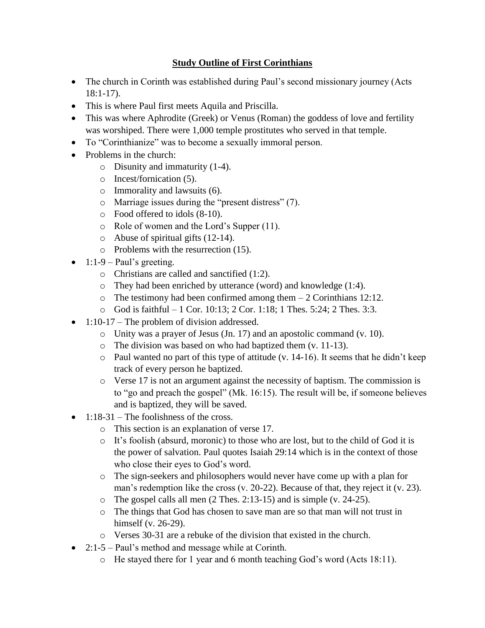## **Study Outline of First Corinthians**

- The church in Corinth was established during Paul's second missionary journey (Acts 18:1-17).
- This is where Paul first meets Aquila and Priscilla.
- This was where Aphrodite (Greek) or Venus (Roman) the goddess of love and fertility was worshiped. There were 1,000 temple prostitutes who served in that temple.
- To "Corinthianize" was to become a sexually immoral person.
- Problems in the church:
	- o Disunity and immaturity (1-4).
	- o Incest/fornication (5).
	- o Immorality and lawsuits (6).
	- o Marriage issues during the "present distress" (7).
	- o Food offered to idols (8-10).
	- o Role of women and the Lord's Supper (11).
	- o Abuse of spiritual gifts (12-14).
	- o Problems with the resurrection (15).
- 1:1-9 Paul's greeting.
	- o Christians are called and sanctified (1:2).
	- o They had been enriched by utterance (word) and knowledge (1:4).
	- $\circ$  The testimony had been confirmed among them  $-2$  Corinthians 12:12.
	- o God is faithful 1 Cor. 10:13; 2 Cor. 1:18; 1 Thes. 5:24; 2 Thes. 3:3.
- 1:10-17 The problem of division addressed.
	- o Unity was a prayer of Jesus (Jn. 17) and an apostolic command (v. 10).
	- o The division was based on who had baptized them (v. 11-13).
	- o Paul wanted no part of this type of attitude (v. 14-16). It seems that he didn't keep track of every person he baptized.
	- $\circ$  Verse 17 is not an argument against the necessity of baptism. The commission is to "go and preach the gospel" (Mk. 16:15). The result will be, if someone believes and is baptized, they will be saved.
- $\bullet$  1:18-31 The foolishness of the cross.
	- o This section is an explanation of verse 17.
	- o It's foolish (absurd, moronic) to those who are lost, but to the child of God it is the power of salvation. Paul quotes Isaiah 29:14 which is in the context of those who close their eyes to God's word.
	- o The sign-seekers and philosophers would never have come up with a plan for man's redemption like the cross (v. 20-22). Because of that, they reject it (v. 23).
	- o The gospel calls all men (2 Thes. 2:13-15) and is simple (v. 24-25).
	- o The things that God has chosen to save man are so that man will not trust in himself (v. 26-29).
	- o Verses 30-31 are a rebuke of the division that existed in the church.
- 2:1-5 Paul's method and message while at Corinth.
	- $\circ$  He stayed there for 1 year and 6 month teaching God's word (Acts 18:11).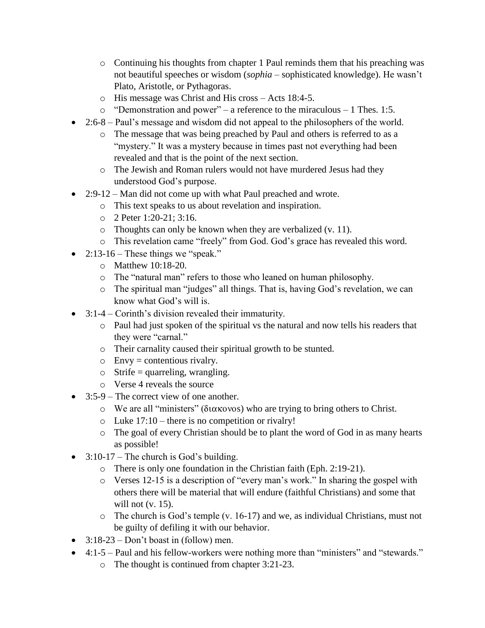- $\circ$  Continuing his thoughts from chapter 1 Paul reminds them that his preaching was not beautiful speeches or wisdom (*sophia* – sophisticated knowledge). He wasn't Plato, Aristotle, or Pythagoras.
- o His message was Christ and His cross Acts 18:4-5.
- o "Demonstration and power" a reference to the miraculous 1 Thes. 1:5.
- 2:6-8 Paul's message and wisdom did not appeal to the philosophers of the world.
	- o The message that was being preached by Paul and others is referred to as a "mystery." It was a mystery because in times past not everything had been revealed and that is the point of the next section.
	- o The Jewish and Roman rulers would not have murdered Jesus had they understood God's purpose.
- 2:9-12 Man did not come up with what Paul preached and wrote.
	- o This text speaks to us about revelation and inspiration.
	- o 2 Peter 1:20-21; 3:16.
	- o Thoughts can only be known when they are verbalized (v. 11).
	- o This revelation came "freely" from God. God's grace has revealed this word.
- 2:13-16 These things we "speak."
	- o Matthew 10:18-20.
	- o The "natural man" refers to those who leaned on human philosophy.
	- o The spiritual man "judges" all things. That is, having God's revelation, we can know what God's will is.
- 3:1-4 Corinth's division revealed their immaturity.
	- o Paul had just spoken of the spiritual vs the natural and now tells his readers that they were "carnal."
	- o Their carnality caused their spiritual growth to be stunted.
	- $\circ$  Envy = contentious rivalry.
	- $\circ$  Strife = quarreling, wrangling.
	- o Verse 4 reveals the source
- 3:5-9 The correct view of one another.
	- $\circ$  We are all "ministers" (διακονοs) who are trying to bring others to Christ.
	- o Luke 17:10 there is no competition or rivalry!
	- o The goal of every Christian should be to plant the word of God in as many hearts as possible!
- $\bullet$  3:10-17 The church is God's building.
	- o There is only one foundation in the Christian faith (Eph. 2:19-21).
	- o Verses 12-15 is a description of "every man's work." In sharing the gospel with others there will be material that will endure (faithful Christians) and some that will not (v. 15).
	- o The church is God's temple (v. 16-17) and we, as individual Christians, must not be guilty of defiling it with our behavior.
- $\bullet$  3:18-23 Don't boast in (follow) men.
- 4:1-5 Paul and his fellow-workers were nothing more than "ministers" and "stewards."
	- o The thought is continued from chapter 3:21-23.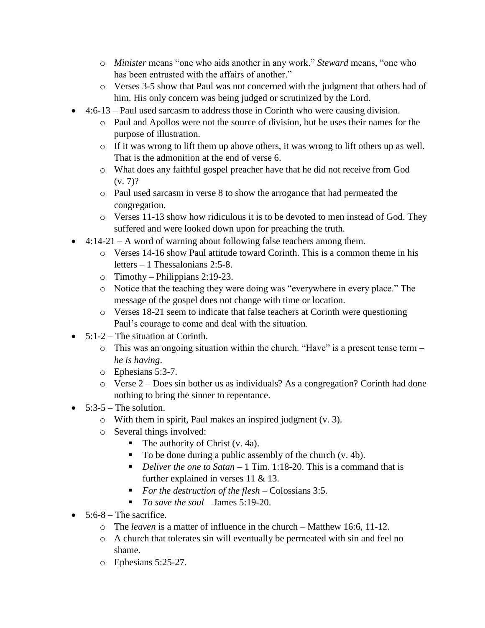- o *Minister* means "one who aids another in any work." *Steward* means, "one who has been entrusted with the affairs of another."
- o Verses 3-5 show that Paul was not concerned with the judgment that others had of him. His only concern was being judged or scrutinized by the Lord.
- 4:6-13 Paul used sarcasm to address those in Corinth who were causing division.
	- o Paul and Apollos were not the source of division, but he uses their names for the purpose of illustration.
	- o If it was wrong to lift them up above others, it was wrong to lift others up as well. That is the admonition at the end of verse 6.
	- o What does any faithful gospel preacher have that he did not receive from God  $(v. 7)$ ?
	- o Paul used sarcasm in verse 8 to show the arrogance that had permeated the congregation.
	- o Verses 11-13 show how ridiculous it is to be devoted to men instead of God. They suffered and were looked down upon for preaching the truth.
- $\bullet$  4:14-21 A word of warning about following false teachers among them.
	- $\circ$  Verses 14-16 show Paul attitude toward Corinth. This is a common theme in his letters – 1 Thessalonians 2:5-8.
	- $\circ$  Timothy Philippians 2:19-23.
	- o Notice that the teaching they were doing was "everywhere in every place." The message of the gospel does not change with time or location.
	- o Verses 18-21 seem to indicate that false teachers at Corinth were questioning Paul's courage to come and deal with the situation.
- $\bullet$  5:1-2 The situation at Corinth.
	- o This was an ongoing situation within the church. "Have" is a present tense term *he is having*.
	- o Ephesians 5:3-7.
	- o Verse 2 Does sin bother us as individuals? As a congregation? Corinth had done nothing to bring the sinner to repentance.
- $\bullet$  5:3-5 The solution.
	- o With them in spirit, Paul makes an inspired judgment (v. 3).
	- o Several things involved:
		- $\blacksquare$  The authority of Christ (v. 4a).
		- To be done during a public assembly of the church (v. 4b).
		- *Deliver the one to Satan* 1 Tim. 1:18-20. This is a command that is further explained in verses 11 & 13.
		- *For the destruction of the flesh* Colossians 3:5.
		- *To save the soul* James 5:19-20.
- $\bullet$  5:6-8 The sacrifice.
	- o The *leaven* is a matter of influence in the church Matthew 16:6, 11-12.
	- o A church that tolerates sin will eventually be permeated with sin and feel no shame.
	- o Ephesians 5:25-27.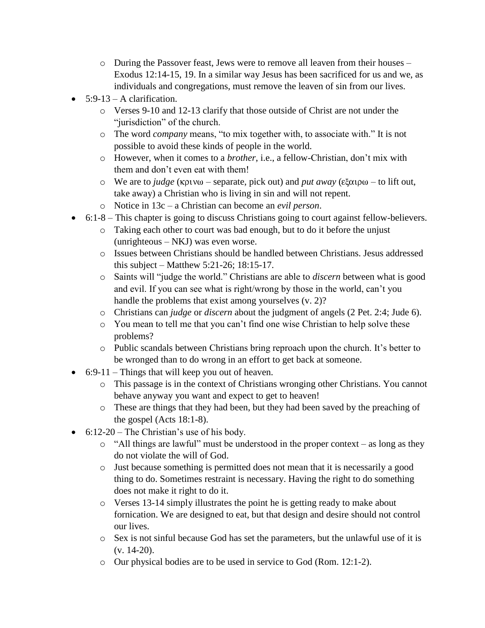- o During the Passover feast, Jews were to remove all leaven from their houses Exodus 12:14-15, 19. In a similar way Jesus has been sacrificed for us and we, as individuals and congregations, must remove the leaven of sin from our lives.
- $\bullet$  5:9-13 A clarification.
	- o Verses 9-10 and 12-13 clarify that those outside of Christ are not under the "jurisdiction" of the church.
	- o The word *company* means, "to mix together with, to associate with." It is not possible to avoid these kinds of people in the world.
	- o However, when it comes to a *brother*, i.e., a fellow-Christian, don't mix with them and don't even eat with them!
	- $\circ$  We are to *judge* (κρινω separate, pick out) and *put away* (εξαιρω to lift out, take away) a Christian who is living in sin and will not repent.
	- o Notice in 13c a Christian can become an *evil person*.
- 6:1-8 This chapter is going to discuss Christians going to court against fellow-believers.
	- o Taking each other to court was bad enough, but to do it before the unjust (unrighteous – NKJ) was even worse.
	- o Issues between Christians should be handled between Christians. Jesus addressed this subject – Matthew 5:21-26; 18:15-17.
	- o Saints will "judge the world." Christians are able to *discern* between what is good and evil. If you can see what is right/wrong by those in the world, can't you handle the problems that exist among yourselves (v. 2)?
	- o Christians can *judge* or *discern* about the judgment of angels (2 Pet. 2:4; Jude 6).
	- o You mean to tell me that you can't find one wise Christian to help solve these problems?
	- o Public scandals between Christians bring reproach upon the church. It's better to be wronged than to do wrong in an effort to get back at someone.
- $\bullet$  6:9-11 Things that will keep you out of heaven.
	- o This passage is in the context of Christians wronging other Christians. You cannot behave anyway you want and expect to get to heaven!
	- o These are things that they had been, but they had been saved by the preaching of the gospel (Acts 18:1-8).
- $\bullet$  6:12-20 The Christian's use of his body.
	- o "All things are lawful" must be understood in the proper context as long as they do not violate the will of God.
	- o Just because something is permitted does not mean that it is necessarily a good thing to do. Sometimes restraint is necessary. Having the right to do something does not make it right to do it.
	- o Verses 13-14 simply illustrates the point he is getting ready to make about fornication. We are designed to eat, but that design and desire should not control our lives.
	- o Sex is not sinful because God has set the parameters, but the unlawful use of it is (v. 14-20).
	- o Our physical bodies are to be used in service to God (Rom. 12:1-2).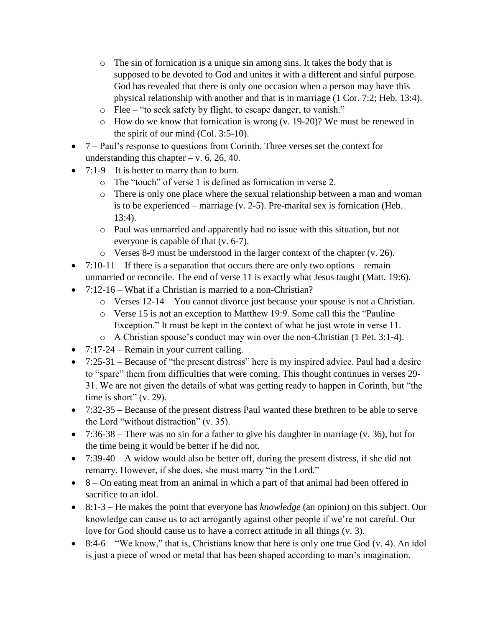- o The sin of fornication is a unique sin among sins. It takes the body that is supposed to be devoted to God and unites it with a different and sinful purpose. God has revealed that there is only one occasion when a person may have this physical relationship with another and that is in marriage (1 Cor. 7:2; Heb. 13:4).
- o Flee "to seek safety by flight, to escape danger, to vanish."
- o How do we know that fornication is wrong (v. 19-20)? We must be renewed in the spirit of our mind (Col. 3:5-10).
- $\bullet$  7 Paul's response to questions from Corinth. Three verses set the context for understanding this chapter – v.  $6, 26, 40$ .
- 7:1-9 It is better to marry than to burn.
	- o The "touch" of verse 1 is defined as fornication in verse 2.
	- o There is only one place where the sexual relationship between a man and woman is to be experienced – marriage (v. 2-5). Pre-marital sex is fornication (Heb. 13:4).
	- o Paul was unmarried and apparently had no issue with this situation, but not everyone is capable of that (v. 6-7).
	- o Verses 8-9 must be understood in the larger context of the chapter (v. 26).
- $7:10-11$  If there is a separation that occurs there are only two options remain unmarried or reconcile. The end of verse 11 is exactly what Jesus taught (Matt. 19:6).
- 7:12-16 What if a Christian is married to a non-Christian?
	- o Verses 12-14 You cannot divorce just because your spouse is not a Christian.
	- o Verse 15 is not an exception to Matthew 19:9. Some call this the "Pauline Exception." It must be kept in the context of what he just wrote in verse 11.
	- o A Christian spouse's conduct may win over the non-Christian (1 Pet. 3:1-4).
- $7:17-24$  Remain in your current calling.
- $\bullet$  7:25-31 Because of "the present distress" here is my inspired advice. Paul had a desire to "spare" them from difficulties that were coming. This thought continues in verses 29- 31. We are not given the details of what was getting ready to happen in Corinth, but "the time is short" (v. 29).
- 7:32-35 Because of the present distress Paul wanted these brethren to be able to serve the Lord "without distraction" (v. 35).
- $\bullet$  7:36-38 There was no sin for a father to give his daughter in marriage (v. 36), but for the time being it would be better if he did not.
- $\bullet$  7:39-40 A widow would also be better off, during the present distress, if she did not remarry. However, if she does, she must marry "in the Lord."
- 8 On eating meat from an animal in which a part of that animal had been offered in sacrifice to an idol.
- 8:1-3 He makes the point that everyone has *knowledge* (an opinion) on this subject. Our knowledge can cause us to act arrogantly against other people if we're not careful. Our love for God should cause us to have a correct attitude in all things (v. 3).
- $\bullet$  8:4-6 "We know," that is, Christians know that here is only one true God (v. 4). An idol is just a piece of wood or metal that has been shaped according to man's imagination.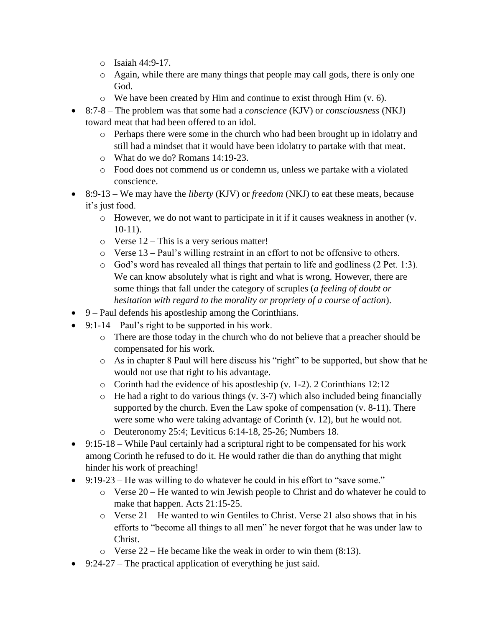- o Isaiah 44:9-17.
- o Again, while there are many things that people may call gods, there is only one God.
- o We have been created by Him and continue to exist through Him (v. 6).
- 8:7-8 The problem was that some had a *conscience* (KJV) or *consciousness* (NKJ) toward meat that had been offered to an idol.
	- o Perhaps there were some in the church who had been brought up in idolatry and still had a mindset that it would have been idolatry to partake with that meat.
	- o What do we do? Romans 14:19-23.
	- o Food does not commend us or condemn us, unless we partake with a violated conscience.
- 8:9-13 We may have the *liberty* (KJV) or *freedom* (NKJ) to eat these meats, because it's just food.
	- o However, we do not want to participate in it if it causes weakness in another (v. 10-11).
	- o Verse 12 This is a very serious matter!
	- o Verse 13 Paul's willing restraint in an effort to not be offensive to others.
	- o God's word has revealed all things that pertain to life and godliness (2 Pet. 1:3). We can know absolutely what is right and what is wrong. However, there are some things that fall under the category of scruples (*a feeling of doubt or hesitation with regard to the morality or propriety of a course of action*).
- 9 Paul defends his apostleship among the Corinthians.
- $\bullet$  9:1-14 Paul's right to be supported in his work.
	- o There are those today in the church who do not believe that a preacher should be compensated for his work.
	- o As in chapter 8 Paul will here discuss his "right" to be supported, but show that he would not use that right to his advantage.
	- o Corinth had the evidence of his apostleship (v. 1-2). 2 Corinthians 12:12
	- o He had a right to do various things (v. 3-7) which also included being financially supported by the church. Even the Law spoke of compensation (v. 8-11). There were some who were taking advantage of Corinth (v. 12), but he would not.
	- o Deuteronomy 25:4; Leviticus 6:14-18, 25-26; Numbers 18.
- 9:15-18 While Paul certainly had a scriptural right to be compensated for his work among Corinth he refused to do it. He would rather die than do anything that might hinder his work of preaching!
- 9:19-23 He was willing to do whatever he could in his effort to "save some."
	- o Verse 20 He wanted to win Jewish people to Christ and do whatever he could to make that happen. Acts 21:15-25.
	- o Verse 21 He wanted to win Gentiles to Christ. Verse 21 also shows that in his efforts to "become all things to all men" he never forgot that he was under law to Christ.
	- $\circ$  Verse 22 He became like the weak in order to win them (8:13).
- $\bullet$  9:24-27 The practical application of everything he just said.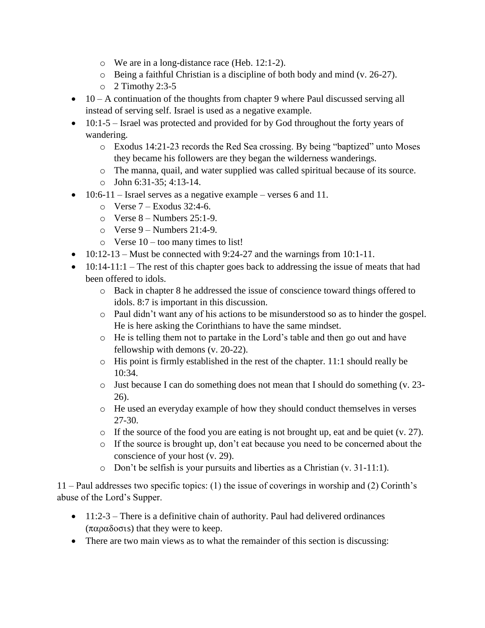- o We are in a long-distance race (Heb. 12:1-2).
- o Being a faithful Christian is a discipline of both body and mind (v. 26-27).
- $\circ$  2 Timothy 2:3-5
- $\bullet$  10 A continuation of the thoughts from chapter 9 where Paul discussed serving all instead of serving self. Israel is used as a negative example.
- $\bullet$  10:1-5 Israel was protected and provided for by God throughout the forty years of wandering.
	- o Exodus 14:21-23 records the Red Sea crossing. By being "baptized" unto Moses they became his followers are they began the wilderness wanderings.
	- o The manna, quail, and water supplied was called spiritual because of its source.
	- $\circ$  John 6:31-35: 4:13-14.
- 10:6-11 Israel serves as a negative example verses 6 and 11.
	- $\circ$  Verse 7 Exodus 32:4-6.
	- $\circ$  Verse 8 Numbers 25:1-9.
	- $\circ$  Verse 9 Numbers 21:4-9.
	- $\circ$  Verse 10 too many times to list!
- $\bullet$  10:12-13 Must be connected with 9:24-27 and the warnings from 10:1-11.
- $\bullet$  10:14-11:1 The rest of this chapter goes back to addressing the issue of meats that had been offered to idols.
	- o Back in chapter 8 he addressed the issue of conscience toward things offered to idols. 8:7 is important in this discussion.
	- o Paul didn't want any of his actions to be misunderstood so as to hinder the gospel. He is here asking the Corinthians to have the same mindset.
	- o He is telling them not to partake in the Lord's table and then go out and have fellowship with demons (v. 20-22).
	- o His point is firmly established in the rest of the chapter. 11:1 should really be 10:34.
	- $\circ$  Just because I can do something does not mean that I should do something (v. 23-26).
	- o He used an everyday example of how they should conduct themselves in verses 27-30.
	- $\circ$  If the source of the food you are eating is not brought up, eat and be quiet (v. 27).
	- o If the source is brought up, don't eat because you need to be concerned about the conscience of your host (v. 29).
	- o Don't be selfish is your pursuits and liberties as a Christian (v. 31-11:1).

11 – Paul addresses two specific topics: (1) the issue of coverings in worship and (2) Corinth's abuse of the Lord's Supper.

- 11:2-3 There is a definitive chain of authority. Paul had delivered ordinances  $(\pi \alpha \rho \alpha \delta \sigma \sigma \sigma)$  that they were to keep.
- There are two main views as to what the remainder of this section is discussing: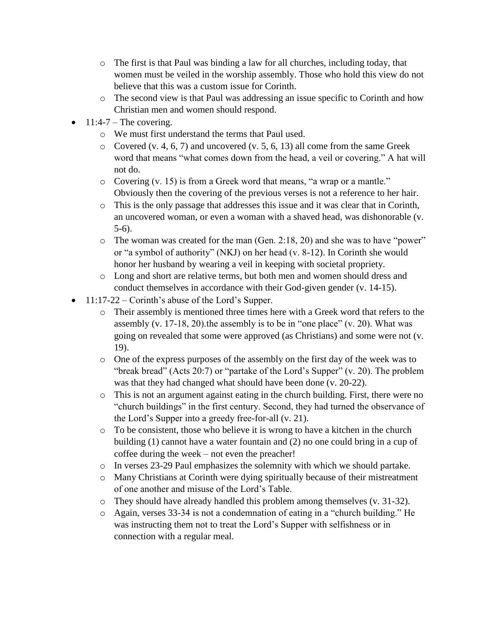- $\circ$  The first is that Paul was binding a law for all churches, including today, that women must be veiled in the worship assembly. Those who hold this view do not believe that this was a custom issue for Corinth.
- o The second view is that Paul was addressing an issue specific to Corinth and how Christian men and women should respond.
- $11:4-7$  The covering.
	- o We must first understand the terms that Paul used.
	- $\circ$  Covered (v. 4, 6, 7) and uncovered (v. 5, 6, 13) all come from the same Greek word that means "what comes down from the head, a veil or covering." A hat will not do.
	- o Covering (v. 15) is from a Greek word that means, "a wrap or a mantle." Obviously then the covering of the previous verses is not a reference to her hair.
	- o This is the only passage that addresses this issue and it was clear that in Corinth, an uncovered woman, or even a woman with a shaved head, was dishonorable (v. 5-6).
	- o The woman was created for the man (Gen. 2:18, 20) and she was to have "power" or "a symbol of authority" (NKJ) on her head (v. 8-12). In Corinth she would honor her husband by wearing a veil in keeping with societal propriety.
	- o Long and short are relative terms, but both men and women should dress and conduct themselves in accordance with their God-given gender (v. 14-15).
- $\bullet$  11:17-22 Corinth's abuse of the Lord's Supper.
	- o Their assembly is mentioned three times here with a Greek word that refers to the assembly  $(v. 17-18, 20)$ . the assembly is to be in "one place"  $(v. 20)$ . What was going on revealed that some were approved (as Christians) and some were not (v. 19).
	- $\circ$  One of the express purposes of the assembly on the first day of the week was to "break bread" (Acts 20:7) or "partake of the Lord's Supper" (v. 20). The problem was that they had changed what should have been done (v. 20-22).
	- o This is not an argument against eating in the church building. First, there were no "church buildings" in the first century. Second, they had turned the observance of the Lord's Supper into a greedy free-for-all (v. 21).
	- o To be consistent, those who believe it is wrong to have a kitchen in the church building (1) cannot have a water fountain and (2) no one could bring in a cup of coffee during the week – not even the preacher!
	- o In verses 23-29 Paul emphasizes the solemnity with which we should partake.
	- o Many Christians at Corinth were dying spiritually because of their mistreatment of one another and misuse of the Lord's Table.
	- o They should have already handled this problem among themselves (v. 31-32).
	- o Again, verses 33-34 is not a condemnation of eating in a "church building." He was instructing them not to treat the Lord's Supper with selfishness or in connection with a regular meal.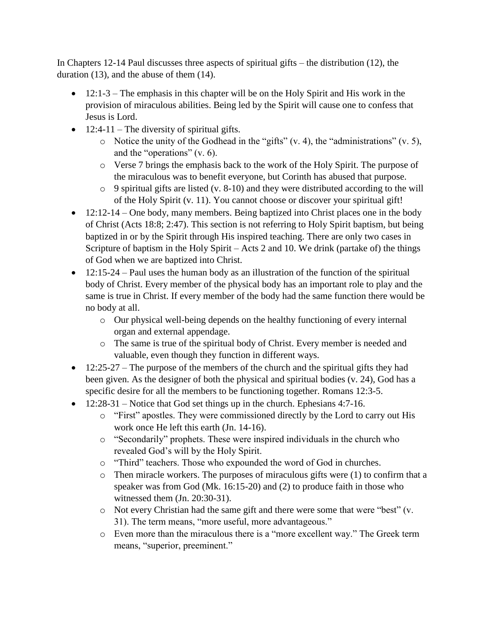In Chapters 12-14 Paul discusses three aspects of spiritual gifts – the distribution (12), the duration (13), and the abuse of them (14).

- $\bullet$  12:1-3 The emphasis in this chapter will be on the Holy Spirit and His work in the provision of miraculous abilities. Being led by the Spirit will cause one to confess that Jesus is Lord.
- $\bullet$  12:4-11 The diversity of spiritual gifts.
	- $\circ$  Notice the unity of the Godhead in the "gifts" (v. 4), the "administrations" (v. 5), and the "operations" (v. 6).
	- o Verse 7 brings the emphasis back to the work of the Holy Spirit. The purpose of the miraculous was to benefit everyone, but Corinth has abused that purpose.
	- o 9 spiritual gifts are listed (v. 8-10) and they were distributed according to the will of the Holy Spirit (v. 11). You cannot choose or discover your spiritual gift!
- $\bullet$  12:12-14 One body, many members. Being baptized into Christ places one in the body of Christ (Acts 18:8; 2:47). This section is not referring to Holy Spirit baptism, but being baptized in or by the Spirit through His inspired teaching. There are only two cases in Scripture of baptism in the Holy Spirit – Acts 2 and 10. We drink (partake of) the things of God when we are baptized into Christ.
- $\bullet$  12:15-24 Paul uses the human body as an illustration of the function of the spiritual body of Christ. Every member of the physical body has an important role to play and the same is true in Christ. If every member of the body had the same function there would be no body at all.
	- o Our physical well-being depends on the healthy functioning of every internal organ and external appendage.
	- o The same is true of the spiritual body of Christ. Every member is needed and valuable, even though they function in different ways.
- $\bullet$  12:25-27 The purpose of the members of the church and the spiritual gifts they had been given. As the designer of both the physical and spiritual bodies (v. 24), God has a specific desire for all the members to be functioning together. Romans 12:3-5.
- $\bullet$  12:28-31 Notice that God set things up in the church. Ephesians 4:7-16.
	- o "First" apostles. They were commissioned directly by the Lord to carry out His work once He left this earth (Jn. 14-16).
	- o "Secondarily" prophets. These were inspired individuals in the church who revealed God's will by the Holy Spirit.
	- o "Third" teachers. Those who expounded the word of God in churches.
	- o Then miracle workers. The purposes of miraculous gifts were (1) to confirm that a speaker was from God (Mk. 16:15-20) and (2) to produce faith in those who witnessed them (Jn. 20:30-31).
	- o Not every Christian had the same gift and there were some that were "best" (v. 31). The term means, "more useful, more advantageous."
	- o Even more than the miraculous there is a "more excellent way." The Greek term means, "superior, preeminent."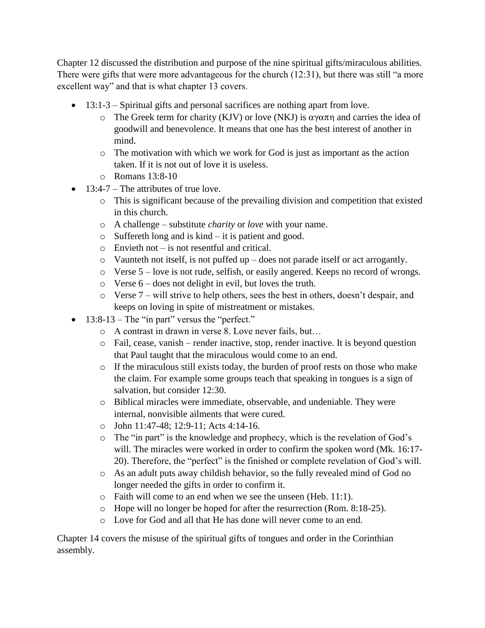Chapter 12 discussed the distribution and purpose of the nine spiritual gifts/miraculous abilities. There were gifts that were more advantageous for the church (12:31), but there was still "a more excellent way" and that is what chapter 13 covers.

- 13:1-3 Spiritual gifts and personal sacrifices are nothing apart from love.
	- $\circ$  The Greek term for charity (KJV) or love (NKJ) is  $\alpha \gamma \alpha \pi \eta$  and carries the idea of goodwill and benevolence. It means that one has the best interest of another in mind.
	- o The motivation with which we work for God is just as important as the action taken. If it is not out of love it is useless.
	- o Romans 13:8-10
- 13:4-7 The attributes of true love.
	- o This is significant because of the prevailing division and competition that existed in this church.
	- o A challenge substitute *charity* or *love* with your name.
	- o Suffereth long and is kind it is patient and good.
	- o Envieth not is not resentful and critical.
	- o Vaunteth not itself, is not puffed up does not parade itself or act arrogantly.
	- o Verse 5 love is not rude, selfish, or easily angered. Keeps no record of wrongs.
	- o Verse 6 does not delight in evil, but loves the truth.
	- o Verse 7 will strive to help others, sees the best in others, doesn't despair, and keeps on loving in spite of mistreatment or mistakes.
- $\bullet$  13:8-13 The "in part" versus the "perfect."
	- o A contrast in drawn in verse 8. Love never fails, but…
	- o Fail, cease, vanish render inactive, stop, render inactive. It is beyond question that Paul taught that the miraculous would come to an end.
	- o If the miraculous still exists today, the burden of proof rests on those who make the claim. For example some groups teach that speaking in tongues is a sign of salvation, but consider 12:30.
	- o Biblical miracles were immediate, observable, and undeniable. They were internal, nonvisible ailments that were cured.
	- o John 11:47-48; 12:9-11; Acts 4:14-16.
	- o The "in part" is the knowledge and prophecy, which is the revelation of God's will. The miracles were worked in order to confirm the spoken word (Mk. 16:17- 20). Therefore, the "perfect" is the finished or complete revelation of God's will.
	- o As an adult puts away childish behavior, so the fully revealed mind of God no longer needed the gifts in order to confirm it.
	- o Faith will come to an end when we see the unseen (Heb. 11:1).
	- o Hope will no longer be hoped for after the resurrection (Rom. 8:18-25).
	- o Love for God and all that He has done will never come to an end.

Chapter 14 covers the misuse of the spiritual gifts of tongues and order in the Corinthian assembly.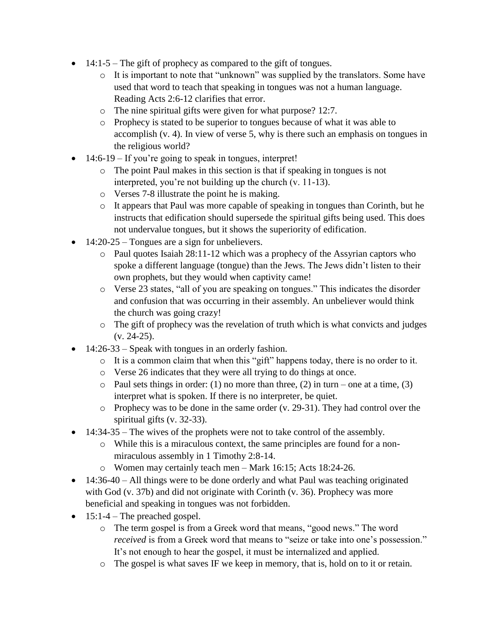- $\bullet$  14:1-5 The gift of prophecy as compared to the gift of tongues.
	- o It is important to note that "unknown" was supplied by the translators. Some have used that word to teach that speaking in tongues was not a human language. Reading Acts 2:6-12 clarifies that error.
	- o The nine spiritual gifts were given for what purpose? 12:7.
	- o Prophecy is stated to be superior to tongues because of what it was able to accomplish (v. 4). In view of verse 5, why is there such an emphasis on tongues in the religious world?
- 14:6-19 If you're going to speak in tongues, interpret!
	- o The point Paul makes in this section is that if speaking in tongues is not interpreted, you're not building up the church (v. 11-13).
	- o Verses 7-8 illustrate the point he is making.
	- o It appears that Paul was more capable of speaking in tongues than Corinth, but he instructs that edification should supersede the spiritual gifts being used. This does not undervalue tongues, but it shows the superiority of edification.
- 14:20-25 Tongues are a sign for unbelievers.
	- o Paul quotes Isaiah 28:11-12 which was a prophecy of the Assyrian captors who spoke a different language (tongue) than the Jews. The Jews didn't listen to their own prophets, but they would when captivity came!
	- o Verse 23 states, "all of you are speaking on tongues." This indicates the disorder and confusion that was occurring in their assembly. An unbeliever would think the church was going crazy!
	- o The gift of prophecy was the revelation of truth which is what convicts and judges (v. 24-25).
- $\bullet$  14:26-33 Speak with tongues in an orderly fashion.
	- o It is a common claim that when this "gift" happens today, there is no order to it.
	- o Verse 26 indicates that they were all trying to do things at once.
	- $\circ$  Paul sets things in order: (1) no more than three, (2) in turn one at a time, (3) interpret what is spoken. If there is no interpreter, be quiet.
	- $\circ$  Prophecy was to be done in the same order (v. 29-31). They had control over the spiritual gifts (v. 32-33).
- $\bullet$  14:34-35 The wives of the prophets were not to take control of the assembly.
	- o While this is a miraculous context, the same principles are found for a nonmiraculous assembly in 1 Timothy 2:8-14.
	- o Women may certainly teach men Mark 16:15; Acts 18:24-26.
- $\bullet$  14:36-40 All things were to be done orderly and what Paul was teaching originated with God (v. 37b) and did not originate with Corinth (v. 36). Prophecy was more beneficial and speaking in tongues was not forbidden.
- $\bullet$  15:1-4 The preached gospel.
	- o The term gospel is from a Greek word that means, "good news." The word *received* is from a Greek word that means to "seize or take into one's possession." It's not enough to hear the gospel, it must be internalized and applied.
	- o The gospel is what saves IF we keep in memory, that is, hold on to it or retain.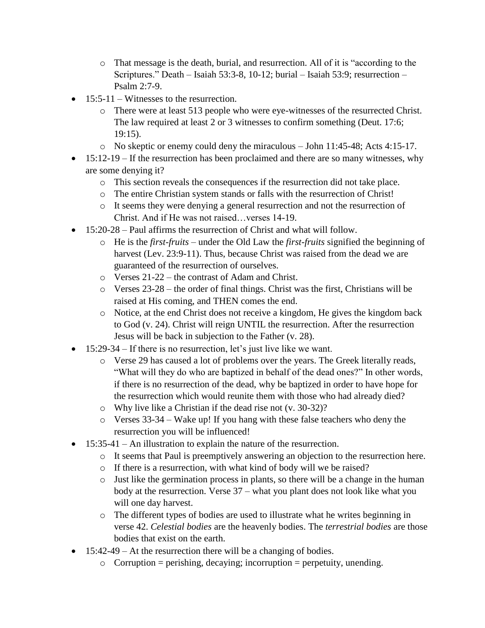- o That message is the death, burial, and resurrection. All of it is "according to the Scriptures." Death – Isaiah 53:3-8, 10-12; burial – Isaiah 53:9; resurrection – Psalm 2:7-9.
- 15:5-11 Witnesses to the resurrection.
	- o There were at least 513 people who were eye-witnesses of the resurrected Christ. The law required at least 2 or 3 witnesses to confirm something (Deut. 17:6; 19:15).
	- o No skeptic or enemy could deny the miraculous John 11:45-48; Acts 4:15-17.
- $\bullet$  15:12-19 If the resurrection has been proclaimed and there are so many witnesses, why are some denying it?
	- o This section reveals the consequences if the resurrection did not take place.
	- o The entire Christian system stands or falls with the resurrection of Christ!
	- o It seems they were denying a general resurrection and not the resurrection of Christ. And if He was not raised…verses 14-19.
- 15:20-28 Paul affirms the resurrection of Christ and what will follow.
	- o He is the *first-fruits* under the Old Law the *first-fruits* signified the beginning of harvest (Lev. 23:9-11). Thus, because Christ was raised from the dead we are guaranteed of the resurrection of ourselves.
	- o Verses 21-22 the contrast of Adam and Christ.
	- $\circ$  Verses 23-28 the order of final things. Christ was the first, Christians will be raised at His coming, and THEN comes the end.
	- o Notice, at the end Christ does not receive a kingdom, He gives the kingdom back to God (v. 24). Christ will reign UNTIL the resurrection. After the resurrection Jesus will be back in subjection to the Father (v. 28).
- 15:29-34 If there is no resurrection, let's just live like we want.
	- o Verse 29 has caused a lot of problems over the years. The Greek literally reads, "What will they do who are baptized in behalf of the dead ones?" In other words, if there is no resurrection of the dead, why be baptized in order to have hope for the resurrection which would reunite them with those who had already died?
	- o Why live like a Christian if the dead rise not (v. 30-32)?
	- o Verses 33-34 Wake up! If you hang with these false teachers who deny the resurrection you will be influenced!
- 15:35-41 An illustration to explain the nature of the resurrection.
	- o It seems that Paul is preemptively answering an objection to the resurrection here.
	- o If there is a resurrection, with what kind of body will we be raised?
	- o Just like the germination process in plants, so there will be a change in the human body at the resurrection. Verse 37 – what you plant does not look like what you will one day harvest.
	- o The different types of bodies are used to illustrate what he writes beginning in verse 42. *Celestial bodies* are the heavenly bodies. The *terrestrial bodies* are those bodies that exist on the earth.
- $\bullet$  15:42-49 At the resurrection there will be a changing of bodies.
	- $\circ$  Corruption = perishing, decaying; incorruption = perpetuity, unending.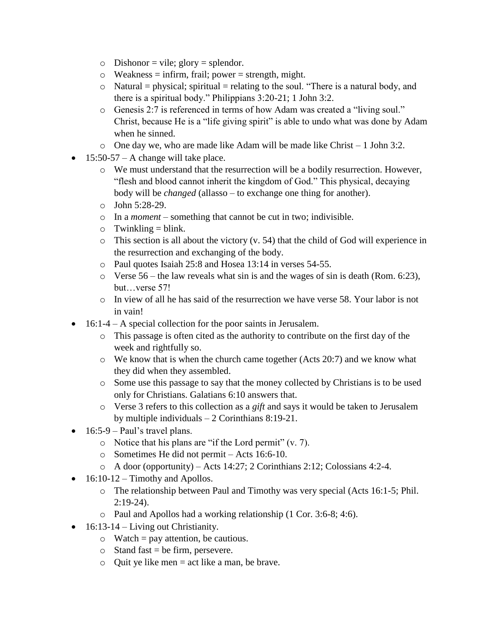- $\circ$  Dishonor = vile; glory = splendor.
- $\circ$  Weakness = infirm, frail; power = strength, might.
- $\circ$  Natural = physical; spiritual = relating to the soul. "There is a natural body, and there is a spiritual body." Philippians 3:20-21; 1 John 3:2.
- o Genesis 2:7 is referenced in terms of how Adam was created a "living soul." Christ, because He is a "life giving spirit" is able to undo what was done by Adam when he sinned.
- $\circ$  One day we, who are made like Adam will be made like Christ 1 John 3:2.
- $\bullet$  15:50-57 A change will take place.
	- o We must understand that the resurrection will be a bodily resurrection. However, "flesh and blood cannot inherit the kingdom of God." This physical, decaying body will be *changed* (allasso – to exchange one thing for another).
	- o John 5:28-29.
	- o In a *moment* something that cannot be cut in two; indivisible.
	- $\circ$  Twinkling = blink.
	- o This section is all about the victory (v. 54) that the child of God will experience in the resurrection and exchanging of the body.
	- o Paul quotes Isaiah 25:8 and Hosea 13:14 in verses 54-55.
	- $\circ$  Verse 56 the law reveals what sin is and the wages of sin is death (Rom. 6:23), but…verse 57!
	- $\circ$  In view of all he has said of the resurrection we have verse 58. Your labor is not in vain!
- 16:1-4 A special collection for the poor saints in Jerusalem.
	- o This passage is often cited as the authority to contribute on the first day of the week and rightfully so.
	- $\circ$  We know that is when the church came together (Acts 20:7) and we know what they did when they assembled.
	- o Some use this passage to say that the money collected by Christians is to be used only for Christians. Galatians 6:10 answers that.
	- o Verse 3 refers to this collection as a *gift* and says it would be taken to Jerusalem by multiple individuals – 2 Corinthians 8:19-21.
- $\bullet$  16:5-9 Paul's travel plans.
	- o Notice that his plans are "if the Lord permit" (v. 7).
	- o Sometimes He did not permit Acts 16:6-10.
	- o A door (opportunity) Acts 14:27; 2 Corinthians 2:12; Colossians 4:2-4.
- $\bullet$  16:10-12 Timothy and Apollos.
	- o The relationship between Paul and Timothy was very special (Acts 16:1-5; Phil. 2:19-24).
	- o Paul and Apollos had a working relationship (1 Cor. 3:6-8; 4:6).
- $\bullet$  16:13-14 Living out Christianity.
	- $\circ$  Watch = pay attention, be cautious.
	- $\circ$  Stand fast = be firm, persevere.
	- $\circ$  Quit ye like men = act like a man, be brave.